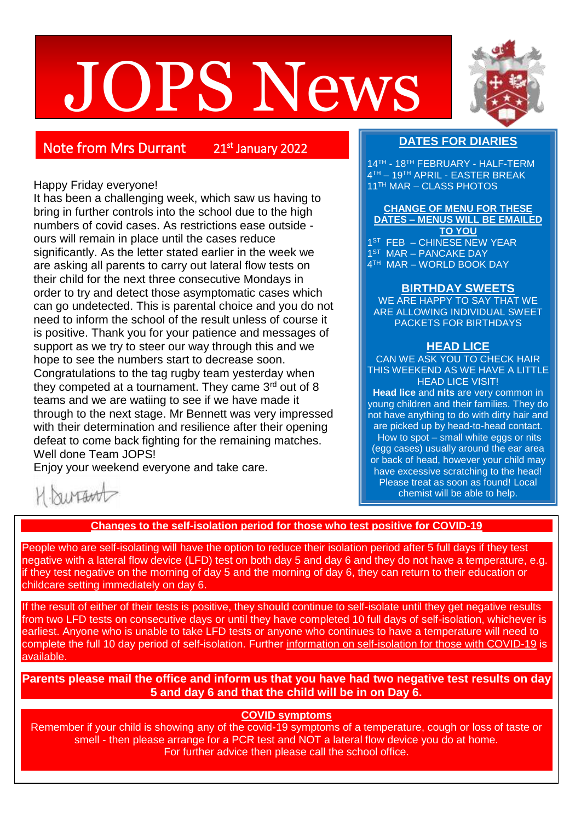# JOPS News



Note from Mrs Durrant

21st January 2022

### Happy Friday everyone!

It has been a challenging week, which saw us having to bring in further controls into the school due to the high numbers of covid cases. As restrictions ease outside ours will remain in place until the cases reduce significantly. As the letter stated earlier in the week we are asking all parents to carry out lateral flow tests on their child for the next three consecutive Mondays in order to try and detect those asymptomatic cases which can go undetected. This is parental choice and you do not need to inform the school of the result unless of course it is positive. Thank you for your patience and messages of support as we try to steer our way through this and we hope to see the numbers start to decrease soon. Congratulations to the tag rugby team yesterday when they competed at a tournament. They came  $3<sup>rd</sup>$  out of 8 teams and we are watiing to see if we have made it through to the next stage. Mr Bennett was very impressed with their determination and resilience after their opening defeat to come back fighting for the remaining matches. Well done Team JOPS!

Enjoy your weekend everyone and take care.

# **DATES FOR DIARIES**

14TH - 18TH FEBRUARY - HALF-TERM 4 TH – 19TH APRIL - EASTER BREAK 11TH MAR – CLASS PHOTOS

**CHANGE OF MENU FOR THESE DATES – MENUS WILL BE EMAILED TO YOU** 1 ST FEB – CHINESE NEW YEAR 1 ST MAR – PANCAKE DAY 4 TH MAR – WORLD BOOK DAY

## **BIRTHDAY SWEETS**

WE ARE HAPPY TO SAY THAT WE ARE ALLOWING INDIVIDUAL SWEET PACKETS FOR BIRTHDAYS

#### **HEAD LICE**

CAN WE ASK YOU TO CHECK HAIR THIS WEEKEND AS WE HAVE A LITTLE HEAD LICE VISIT!

**Head lice** and **nits** are very common in young children and their families. They do not have anything to do with dirty hair and are picked up by head-to-head contact. .How to spot – small white eggs or nits (egg cases) usually around the ear area or back of head, however your child may have excessive scratching to the head! Please treat as soon as found! Local chemist will be able to help.

hirtawt

#### **Changes to the self-isolation period for those who test positive for COVID-19**

People who are self-isolating will have the option to reduce their isolation period after 5 full days if they test negative with a lateral flow device (LFD) test on both day 5 and day 6 and they do not have a temperature, e.g. if they test negative on the morning of day 5 and the morning of day 6, they can return to their education or childcare setting immediately on day 6.

If the result of either of their tests is positive, they should continue to self-isolate until they get negative results from two LFD tests on consecutive days or until they have completed 10 full days of self-isolation, whichever is earliest. Anyone who is unable to take LFD tests or anyone who continues to have a temperature will need to complete the full 10 day period of self-isolation. Further [information on self-isolation for those with COVID-19](https://www.gov.uk/government/news/self-isolation-for-those-with-covid-19-can-end-after-five-full-days-following-two-negative-lfd-tests?utm_source=14%20January%202022%20C19&utm_medium=Daily%20Email%20C19&utm_campaign=DfE%20C19) is available.

**Parents please mail the office and inform us that you have had two negative test results on day 5 and day 6 and that the child will be in on Day 6.**

#### **COVID symptoms**

Remember if your child is showing any of the covid-19 symptoms of a temperature, cough or loss of taste or smell - then please arrange for a PCR test and NOT a lateral flow device you do at home. For further advice then please call the school office.